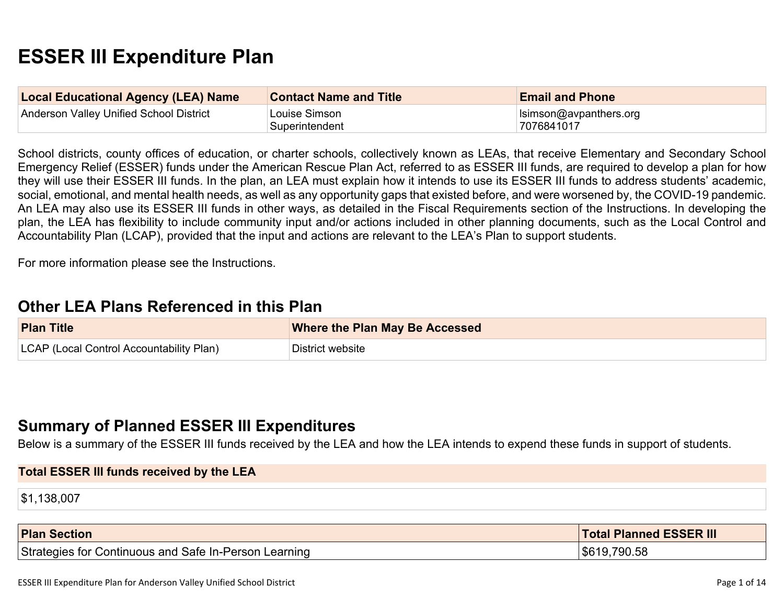# **ESSER III Expenditure Plan**

| <b>Local Educational Agency (LEA) Name</b> | <b>Contact Name and Title</b>   | <b>Email and Phone</b>                        |
|--------------------------------------------|---------------------------------|-----------------------------------------------|
| Anderson Valley Unified School District    | Louise Simson<br>Superintendent | $\vert$ Isimson@avpanthers.org<br> 7076841017 |

School districts, county offices of education, or charter schools, collectively known as LEAs, that receive Elementary and Secondary School Emergency Relief (ESSER) funds under the American Rescue Plan Act, referred to as ESSER III funds, are required to develop a plan for how they will use their ESSER III funds. In the plan, an LEA must explain how it intends to use its ESSER III funds to address students' academic, social, emotional, and mental health needs, as well as any opportunity gaps that existed before, and were worsened by, the COVID-19 pandemic. An LEA may also use its ESSER III funds in other ways, as detailed in the Fiscal Requirements section of the Instructions. In developing the plan, the LEA has flexibility to include community input and/or actions included in other planning documents, such as the Local Control and Accountability Plan (LCAP), provided that the input and actions are relevant to the LEA's Plan to support students.

For more information please see the Instructions.

### **[Other LEA Plans Referenced in this Plan](#page-8-0)**

| <b>Plan Title</b>                        | <b>Where the Plan May Be Accessed</b> |
|------------------------------------------|---------------------------------------|
| LCAP (Local Control Accountability Plan) | District website                      |

### **[Summary of Planned ESSER III Expenditures](#page-8-1)**

Below is a summary of the ESSER III funds received by the LEA and how the LEA intends to expend these funds in support of students.

| <b>Total ESSER III funds received by the LEA</b> |  |  |
|--------------------------------------------------|--|--|
| \$1,138,007                                      |  |  |
|                                                  |  |  |

| <b>Plan Section</b>                            | <b>Total Planned ESSER III</b> |
|------------------------------------------------|--------------------------------|
| Strategies for Continuous and Safe In-Person L | 790.58                         |
| Learning                                       | \$619                          |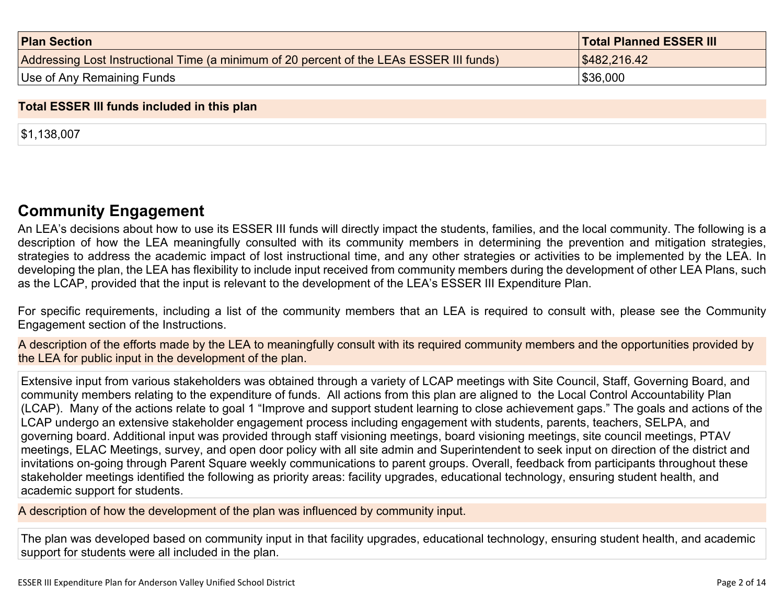| <b>Plan Section</b>                                                                      | <b>Total Planned ESSER III</b> |
|------------------------------------------------------------------------------------------|--------------------------------|
| Addressing Lost Instructional Time (a minimum of 20 percent of the LEAs ESSER III funds) | \$482,216.42                   |
| Use of Any Remaining Funds                                                               | \$36,000                       |

#### **Total ESSER III funds included in this plan**

\$1,138,007

### **[Community Engagement](#page-9-0)**

An LEA's decisions about how to use its ESSER III funds will directly impact the students, families, and the local community. The following is a description of how the LEA meaningfully consulted with its community members in determining the prevention and mitigation strategies, strategies to address the academic impact of lost instructional time, and any other strategies or activities to be implemented by the LEA. In developing the plan, the LEA has flexibility to include input received from community members during the development of other LEA Plans, such as the LCAP, provided that the input is relevant to the development of the LEA's ESSER III Expenditure Plan.

For specific requirements, including a list of the community members that an LEA is required to consult with, please see the Community Engagement section of the Instructions.

A description of the efforts made by the LEA to meaningfully consult with its required community members and the opportunities provided by the LEA for public input in the development of the plan.

Extensive input from various stakeholders was obtained through a variety of LCAP meetings with Site Council, Staff, Governing Board, and community members relating to the expenditure of funds. All actions from this plan are aligned to the Local Control Accountability Plan (LCAP). Many of the actions relate to goal 1 "Improve and support student learning to close achievement gaps." The goals and actions of the LCAP undergo an extensive stakeholder engagement process including engagement with students, parents, teachers, SELPA, and governing board. Additional input was provided through staff visioning meetings, board visioning meetings, site council meetings, PTAV meetings, ELAC Meetings, survey, and open door policy with all site admin and Superintendent to seek input on direction of the district and invitations on-going through Parent Square weekly communications to parent groups. Overall, feedback from participants throughout these stakeholder meetings identified the following as priority areas: facility upgrades, educational technology, ensuring student health, and academic support for students.

A description of how the development of the plan was influenced by community input.

The plan was developed based on community input in that facility upgrades, educational technology, ensuring student health, and academic support for students were all included in the plan.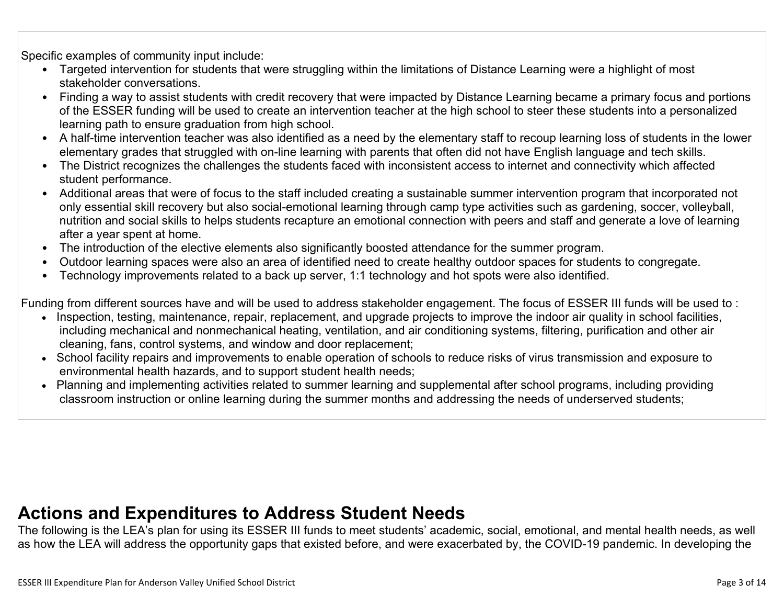Specific examples of community input include:

- Targeted intervention for students that were struggling within the limitations of Distance Learning were a highlight of most stakeholder conversations.
- Finding a way to assist students with credit recovery that were impacted by Distance Learning became a primary focus and portions of the ESSER funding will be used to create an intervention teacher at the high school to steer these students into a personalized learning path to ensure graduation from high school.
- A half-time intervention teacher was also identified as a need by the elementary staff to recoup learning loss of students in the lower elementary grades that struggled with on-line learning with parents that often did not have English language and tech skills.
- The District recognizes the challenges the students faced with inconsistent access to internet and connectivity which affected student performance.
- Additional areas that were of focus to the staff included creating a sustainable summer intervention program that incorporated not only essential skill recovery but also social-emotional learning through camp type activities such as gardening, soccer, volleyball, nutrition and social skills to helps students recapture an emotional connection with peers and staff and generate a love of learning after a year spent at home.
- The introduction of the elective elements also significantly boosted attendance for the summer program.
- Outdoor learning spaces were also an area of identified need to create healthy outdoor spaces for students to congregate.
- Technology improvements related to a back up server, 1:1 technology and hot spots were also identified.

Funding from different sources have and will be used to address stakeholder engagement. The focus of ESSER III funds will be used to :

- Inspection, testing, maintenance, repair, replacement, and upgrade projects to improve the indoor air quality in school facilities, including mechanical and nonmechanical heating, ventilation, and air conditioning systems, filtering, purification and other air cleaning, fans, control systems, and window and door replacement;
- School facility repairs and improvements to enable operation of schools to reduce risks of virus transmission and exposure to environmental health hazards, and to support student health needs;
- Planning and implementing activities related to summer learning and supplemental after school programs, including providing classroom instruction or online learning during the summer months and addressing the needs of underserved students;

## **[Actions and Expenditures to Address Student Needs](#page-11-0)**

The following is the LEA's plan for using its ESSER III funds to meet students' academic, social, emotional, and mental health needs, as well as how the LEA will address the opportunity gaps that existed before, and were exacerbated by, the COVID-19 pandemic. In developing the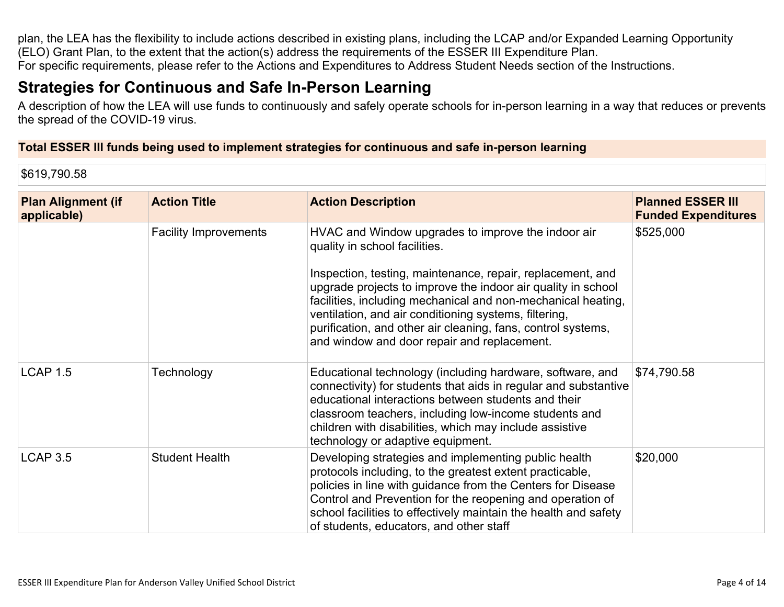plan, the LEA has the flexibility to include actions described in existing plans, including the LCAP and/or Expanded Learning Opportunity (ELO) Grant Plan, to the extent that the action(s) address the requirements of the ESSER III Expenditure Plan. For specific requirements, please refer to the Actions and Expenditures to Address Student Needs section of the Instructions.

## **[Strategies for Continuous and Safe In-Person Learning](#page-11-1)**

A description of how the LEA will use funds to continuously and safely operate schools for in-person learning in a way that reduces or prevents the spread of the COVID-19 virus.

#### **Total ESSER III funds being used to implement strategies for continuous and safe in-person learning**

\$619,790.58

| <b>Plan Alignment (if</b><br>applicable) | <b>Action Title</b>          | <b>Action Description</b>                                                                                                                                                                                                                                                                                                                                                                                                                                 | <b>Planned ESSER III</b><br><b>Funded Expenditures</b> |
|------------------------------------------|------------------------------|-----------------------------------------------------------------------------------------------------------------------------------------------------------------------------------------------------------------------------------------------------------------------------------------------------------------------------------------------------------------------------------------------------------------------------------------------------------|--------------------------------------------------------|
|                                          | <b>Facility Improvements</b> | HVAC and Window upgrades to improve the indoor air<br>quality in school facilities.<br>Inspection, testing, maintenance, repair, replacement, and<br>upgrade projects to improve the indoor air quality in school<br>facilities, including mechanical and non-mechanical heating,<br>ventilation, and air conditioning systems, filtering,<br>purification, and other air cleaning, fans, control systems,<br>and window and door repair and replacement. | \$525,000                                              |
| <b>LCAP 1.5</b>                          | Technology                   | Educational technology (including hardware, software, and<br>connectivity) for students that aids in regular and substantive<br>educational interactions between students and their<br>classroom teachers, including low-income students and<br>children with disabilities, which may include assistive<br>technology or adaptive equipment.                                                                                                              | \$74,790.58                                            |
| <b>LCAP 3.5</b>                          | <b>Student Health</b>        | Developing strategies and implementing public health<br>protocols including, to the greatest extent practicable,<br>policies in line with guidance from the Centers for Disease<br>Control and Prevention for the reopening and operation of<br>school facilities to effectively maintain the health and safety<br>of students, educators, and other staff                                                                                                | \$20,000                                               |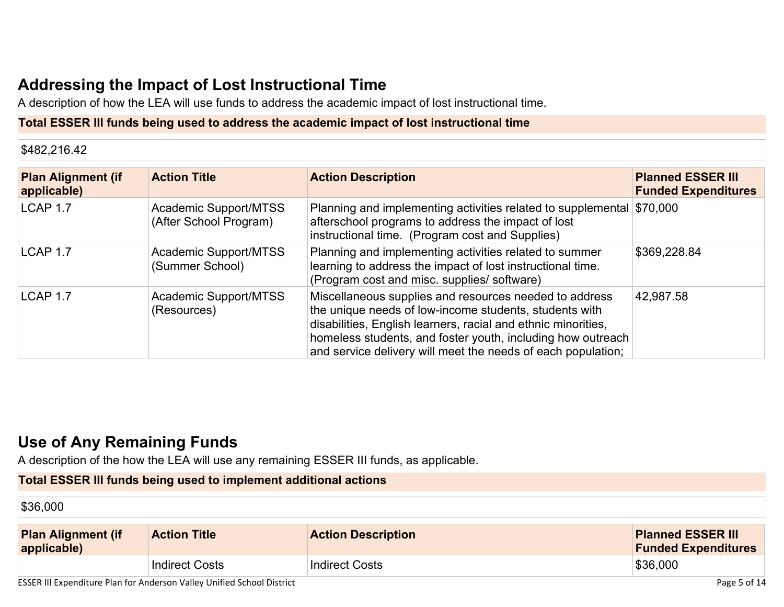## **[Addressing the Impact of Lost Instructional Time](#page-12-0)**

A description of how the LEA will use funds to address the academic impact of lost instructional time.

#### **Total ESSER III funds being used to address the academic impact of lost instructional time**

\$482,216.42

| <b>Plan Alignment (if</b><br>applicable) | <b>Action Title</b>                             | <b>Action Description</b>                                                                                                                                                                                                                                                                                        | <b>Planned ESSER III</b><br><b>Funded Expenditures</b> |
|------------------------------------------|-------------------------------------------------|------------------------------------------------------------------------------------------------------------------------------------------------------------------------------------------------------------------------------------------------------------------------------------------------------------------|--------------------------------------------------------|
| LCAP 1.7                                 | Academic Support/MTSS<br>(After School Program) | Planning and implementing activities related to supplemental \$70,000<br>afterschool programs to address the impact of lost<br>instructional time. (Program cost and Supplies)                                                                                                                                   |                                                        |
| LCAP 1.7                                 | Academic Support/MTSS<br>(Summer School)        | Planning and implementing activities related to summer<br>learning to address the impact of lost instructional time.<br>(Program cost and misc. supplies/ software)                                                                                                                                              | \$369,228.84                                           |
| LCAP 1.7                                 | Academic Support/MTSS<br>(Resources)            | Miscellaneous supplies and resources needed to address<br>the unique needs of low-income students, students with<br>disabilities, English learners, racial and ethnic minorities,<br>homeless students, and foster youth, including how outreach<br>and service delivery will meet the needs of each population; | 42,987.58                                              |

## **[Use of Any Remaining Funds](#page-12-1)**

A description of the how the LEA will use any remaining ESSER III funds, as applicable.

### **Total ESSER III funds being used to implement additional actions**

\$36,000

| <b>Plan Alignment (if</b><br>applicable) | <b>Action Title</b>   | <b>Action Description</b> | <b>Planned ESSER III</b><br><b>Funded Expenditures</b> |
|------------------------------------------|-----------------------|---------------------------|--------------------------------------------------------|
|                                          | <b>Indirect Costs</b> | Indirect Costs            | \$36,000                                               |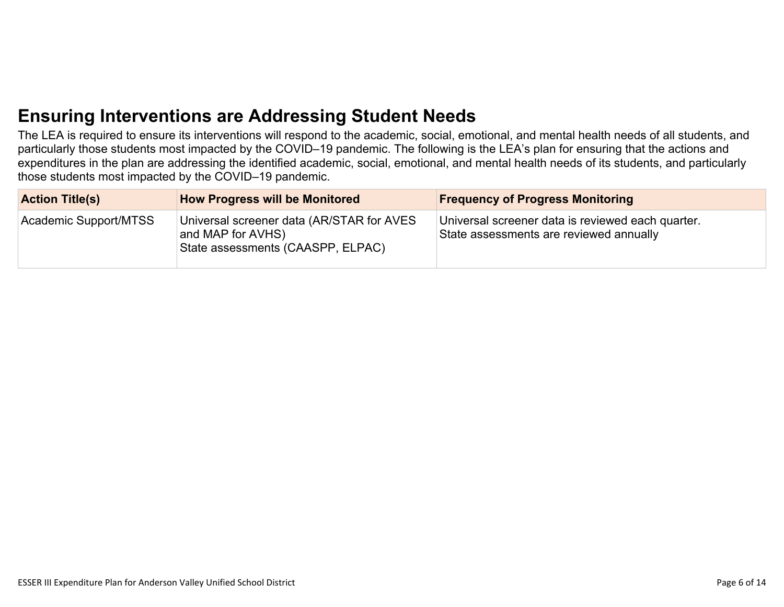## **[Ensuring Interventions are Addressing Student Needs](#page-12-2)**

The LEA is required to ensure its interventions will respond to the academic, social, emotional, and mental health needs of all students, and particularly those students most impacted by the COVID–19 pandemic. The following is the LEA's plan for ensuring that the actions and expenditures in the plan are addressing the identified academic, social, emotional, and mental health needs of its students, and particularly those students most impacted by the COVID–19 pandemic.

| <b>Action Title(s)</b> | <b>How Progress will be Monitored</b>                                                               | <b>Frequency of Progress Monitoring</b>                                                      |
|------------------------|-----------------------------------------------------------------------------------------------------|----------------------------------------------------------------------------------------------|
| Academic Support/MTSS  | Universal screener data (AR/STAR for AVES<br>and MAP for AVHS)<br>State assessments (CAASPP, ELPAC) | Universal screener data is reviewed each quarter.<br>State assessments are reviewed annually |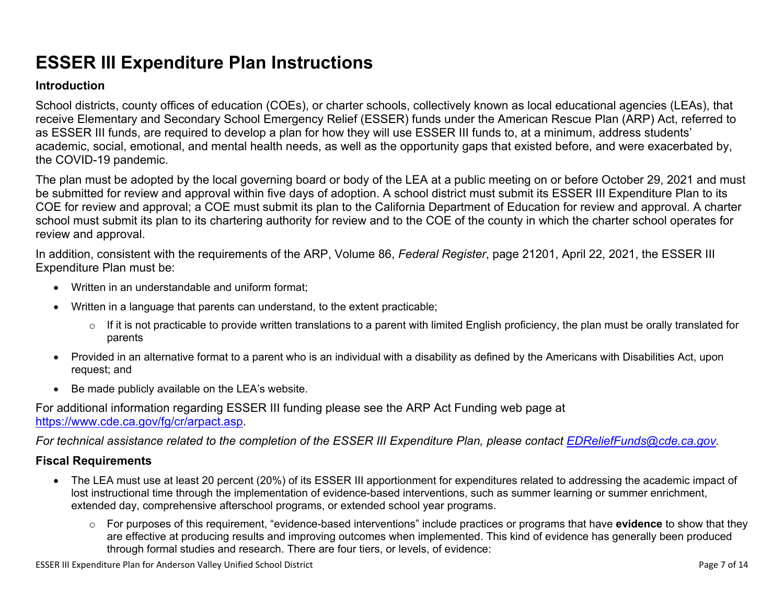# **ESSER III Expenditure Plan Instructions**

#### **Introduction**

School districts, county offices of education (COEs), or charter schools, collectively known as local educational agencies (LEAs), that receive Elementary and Secondary School Emergency Relief (ESSER) funds under the American Rescue Plan (ARP) Act, referred to as ESSER III funds, are required to develop a plan for how they will use ESSER III funds to, at a minimum, address students' academic, social, emotional, and mental health needs, as well as the opportunity gaps that existed before, and were exacerbated by, the COVID-19 pandemic.

The plan must be adopted by the local governing board or body of the LEA at a public meeting on or before October 29, 2021 and must be submitted for review and approval within five days of adoption. A school district must submit its ESSER III Expenditure Plan to its COE for review and approval; a COE must submit its plan to the California Department of Education for review and approval. A charter school must submit its plan to its chartering authority for review and to the COE of the county in which the charter school operates for review and approval.

In addition, consistent with the requirements of the ARP, Volume 86, *Federal Register*, page 21201, April 22, 2021, the ESSER III Expenditure Plan must be:

- Written in an understandable and uniform format;
- Written in a language that parents can understand, to the extent practicable;
	- $\circ$  If it is not practicable to provide written translations to a parent with limited English proficiency, the plan must be orally translated for parents
- Provided in an alternative format to a parent who is an individual with a disability as defined by the Americans with Disabilities Act, upon request; and
- Be made publicly available on the LEA's website.

For additional information regarding ESSER III funding please see the ARP Act Funding web page at <https://www.cde.ca.gov/fg/cr/arpact.asp>.

*For technical assistance related to the completion of the ESSER III Expenditure Plan, please contact [EDReliefFunds@cde.ca.gov](mailto:EDReliefFunds@cde.ca.gov).* 

#### **Fiscal Requirements**

- The LEA must use at least 20 percent (20%) of its ESSER III apportionment for expenditures related to addressing the academic impact of lost instructional time through the implementation of evidence-based interventions, such as summer learning or summer enrichment, extended day, comprehensive afterschool programs, or extended school year programs.
	- o For purposes of this requirement, "evidence-based interventions" include practices or programs that have **evidence** to show that they are effective at producing results and improving outcomes when implemented. This kind of evidence has generally been produced through formal studies and research. There are four tiers, or levels, of evidence:

ESSER III Expenditure Plan for Anderson Valley Unified School District **Page 7 of 14** and 2008 and 2008 and 2008 and 2008 and 2008 and 2008 and 2008 and 2008 and 2008 and 2008 and 2008 and 2008 and 2008 and 2008 and 2008 a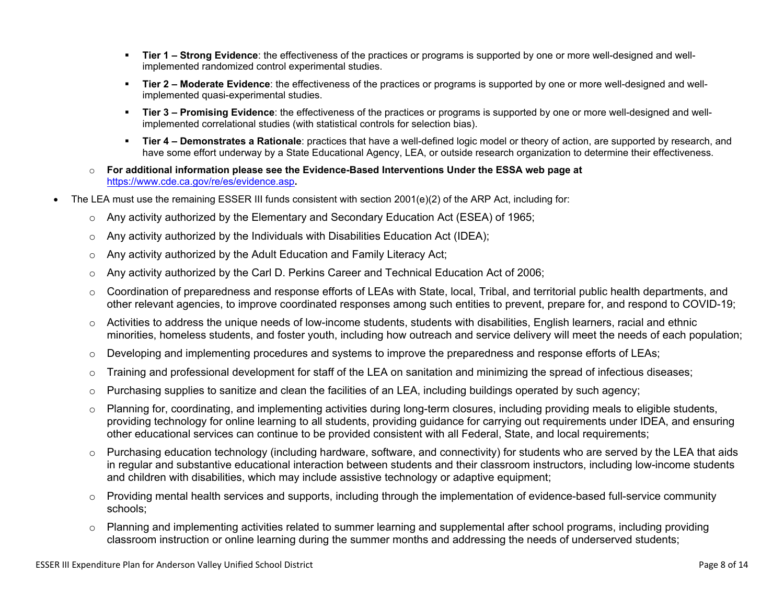- **Tier 1 Strong Evidence**: the effectiveness of the practices or programs is supported by one or more well-designed and wellimplemented randomized control experimental studies.
- **Tier 2 Moderate Evidence**: the effectiveness of the practices or programs is supported by one or more well-designed and wellimplemented quasi-experimental studies.
- Tier 3 Promising Evidence: the effectiveness of the practices or programs is supported by one or more well-designed and wellimplemented correlational studies (with statistical controls for selection bias).
- **EXTIET 4 Demonstrates a Rationale**: practices that have a well-defined logic model or theory of action, are supported by research, and have some effort underway by a State Educational Agency, LEA, or outside research organization to determine their effectiveness.
- o **For additional information please see the Evidence-Based Interventions Under the ESSA web page at**  <https://www.cde.ca.gov/re/es/evidence.asp>**.**
- The LEA must use the remaining ESSER III funds consistent with section 2001(e)(2) of the ARP Act, including for:
	- $\circ$  Any activity authorized by the Elementary and Secondary Education Act (ESEA) of 1965;
	- $\circ$  Any activity authorized by the Individuals with Disabilities Education Act (IDEA);
	- o Any activity authorized by the Adult Education and Family Literacy Act;
	- $\circ$  Any activity authorized by the Carl D. Perkins Career and Technical Education Act of 2006;
	- $\circ$  Coordination of preparedness and response efforts of LEAs with State, local, Tribal, and territorial public health departments, and other relevant agencies, to improve coordinated responses among such entities to prevent, prepare for, and respond to COVID-19;
	- $\circ$  Activities to address the unique needs of low-income students, students with disabilities, English learners, racial and ethnic minorities, homeless students, and foster youth, including how outreach and service delivery will meet the needs of each population;
	- o Developing and implementing procedures and systems to improve the preparedness and response efforts of LEAs;
	- $\circ$  Training and professional development for staff of the LEA on sanitation and minimizing the spread of infectious diseases;
	- $\circ$  Purchasing supplies to sanitize and clean the facilities of an LEA, including buildings operated by such agency;
	- $\circ$  Planning for, coordinating, and implementing activities during long-term closures, including providing meals to eligible students, providing technology for online learning to all students, providing guidance for carrying out requirements under IDEA, and ensuring other educational services can continue to be provided consistent with all Federal, State, and local requirements;
	- $\circ$  Purchasing education technology (including hardware, software, and connectivity) for students who are served by the LEA that aids in regular and substantive educational interaction between students and their classroom instructors, including low-income students and children with disabilities, which may include assistive technology or adaptive equipment;
	- $\circ$  Providing mental health services and supports, including through the implementation of evidence-based full-service community schools;
	- o Planning and implementing activities related to summer learning and supplemental after school programs, including providing classroom instruction or online learning during the summer months and addressing the needs of underserved students;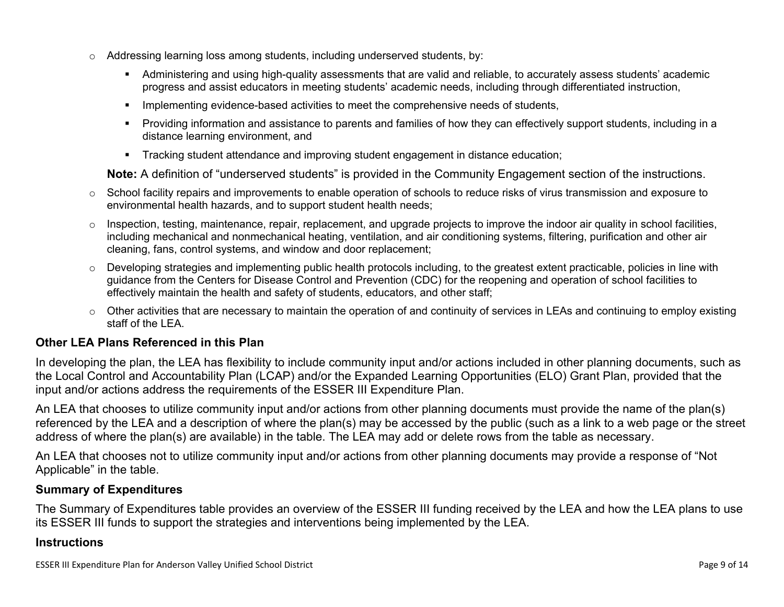- $\circ$  Addressing learning loss among students, including underserved students, by:
	- Administering and using high-quality assessments that are valid and reliable, to accurately assess students' academic progress and assist educators in meeting students' academic needs, including through differentiated instruction,
	- **•** Implementing evidence-based activities to meet the comprehensive needs of students,
	- Providing information and assistance to parents and families of how they can effectively support students, including in a distance learning environment, and
	- Tracking student attendance and improving student engagement in distance education;

**Note:** A definition of "underserved students" is provided in the Community Engagement section of the instructions.

- o School facility repairs and improvements to enable operation of schools to reduce risks of virus transmission and exposure to environmental health hazards, and to support student health needs;
- $\circ$  Inspection, testing, maintenance, repair, replacement, and upgrade projects to improve the indoor air quality in school facilities, including mechanical and nonmechanical heating, ventilation, and air conditioning systems, filtering, purification and other air cleaning, fans, control systems, and window and door replacement;
- $\circ$  Developing strategies and implementing public health protocols including, to the greatest extent practicable, policies in line with guidance from the Centers for Disease Control and Prevention (CDC) for the reopening and operation of school facilities to effectively maintain the health and safety of students, educators, and other staff;
- $\circ$  Other activities that are necessary to maintain the operation of and continuity of services in LEAs and continuing to employ existing staff of the LEA.

#### <span id="page-8-0"></span>**Other LEA Plans Referenced in this Plan**

In developing the plan, the LEA has flexibility to include community input and/or actions included in other planning documents, such as the Local Control and Accountability Plan (LCAP) and/or the Expanded Learning Opportunities (ELO) Grant Plan, provided that the input and/or actions address the requirements of the ESSER III Expenditure Plan.

An LEA that chooses to utilize community input and/or actions from other planning documents must provide the name of the plan(s) referenced by the LEA and a description of where the plan(s) may be accessed by the public (such as a link to a web page or the street address of where the plan(s) are available) in the table. The LEA may add or delete rows from the table as necessary.

An LEA that chooses not to utilize community input and/or actions from other planning documents may provide a response of "Not Applicable" in the table.

#### <span id="page-8-1"></span>**Summary of Expenditures**

The Summary of Expenditures table provides an overview of the ESSER III funding received by the LEA and how the LEA plans to use its ESSER III funds to support the strategies and interventions being implemented by the LEA.

#### **Instructions**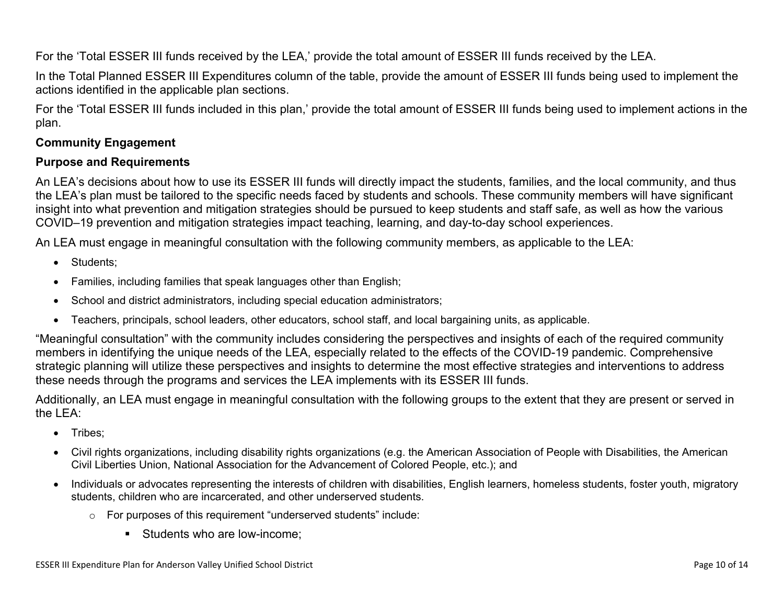For the 'Total ESSER III funds received by the LEA,' provide the total amount of ESSER III funds received by the LEA.

In the Total Planned ESSER III Expenditures column of the table, provide the amount of ESSER III funds being used to implement the actions identified in the applicable plan sections.

For the 'Total ESSER III funds included in this plan,' provide the total amount of ESSER III funds being used to implement actions in the plan.

#### <span id="page-9-0"></span>**Community Engagement**

#### **Purpose and Requirements**

An LEA's decisions about how to use its ESSER III funds will directly impact the students, families, and the local community, and thus the LEA's plan must be tailored to the specific needs faced by students and schools. These community members will have significant insight into what prevention and mitigation strategies should be pursued to keep students and staff safe, as well as how the various COVID–19 prevention and mitigation strategies impact teaching, learning, and day-to-day school experiences.

An LEA must engage in meaningful consultation with the following community members, as applicable to the LEA:

- Students:
- Families, including families that speak languages other than English;
- School and district administrators, including special education administrators;
- Teachers, principals, school leaders, other educators, school staff, and local bargaining units, as applicable.

"Meaningful consultation" with the community includes considering the perspectives and insights of each of the required community members in identifying the unique needs of the LEA, especially related to the effects of the COVID-19 pandemic. Comprehensive strategic planning will utilize these perspectives and insights to determine the most effective strategies and interventions to address these needs through the programs and services the LEA implements with its ESSER III funds.

Additionally, an LEA must engage in meaningful consultation with the following groups to the extent that they are present or served in the LEA:

- Tribes:
- Civil rights organizations, including disability rights organizations (e.g. the American Association of People with Disabilities, the American Civil Liberties Union, National Association for the Advancement of Colored People, etc.); and
- Individuals or advocates representing the interests of children with disabilities, English learners, homeless students, foster youth, migratory students, children who are incarcerated, and other underserved students.
	- o For purposes of this requirement "underserved students" include:
		- Students who are low-income: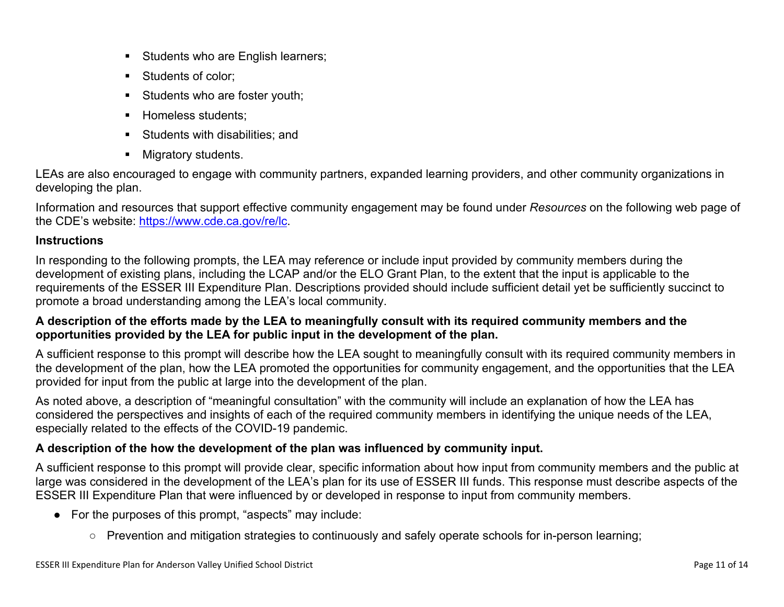- **EXEC** Students who are English learners;
- Students of color:
- **EXECUTE:** Students who are foster youth;
- **E** Homeless students;
- Students with disabilities: and
- Migratory students.

LEAs are also encouraged to engage with community partners, expanded learning providers, and other community organizations in developing the plan.

Information and resources that support effective community engagement may be found under *Resources* on the following web page of the CDE's website: <https://www.cde.ca.gov/re/lc>.

#### **Instructions**

In responding to the following prompts, the LEA may reference or include input provided by community members during the development of existing plans, including the LCAP and/or the ELO Grant Plan, to the extent that the input is applicable to the requirements of the ESSER III Expenditure Plan. Descriptions provided should include sufficient detail yet be sufficiently succinct to promote a broad understanding among the LEA's local community.

#### **A description of the efforts made by the LEA to meaningfully consult with its required community members and the opportunities provided by the LEA for public input in the development of the plan.**

A sufficient response to this prompt will describe how the LEA sought to meaningfully consult with its required community members in the development of the plan, how the LEA promoted the opportunities for community engagement, and the opportunities that the LEA provided for input from the public at large into the development of the plan.

As noted above, a description of "meaningful consultation" with the community will include an explanation of how the LEA has considered the perspectives and insights of each of the required community members in identifying the unique needs of the LEA, especially related to the effects of the COVID-19 pandemic.

### **A description of the how the development of the plan was influenced by community input.**

A sufficient response to this prompt will provide clear, specific information about how input from community members and the public at large was considered in the development of the LEA's plan for its use of ESSER III funds. This response must describe aspects of the ESSER III Expenditure Plan that were influenced by or developed in response to input from community members.

- For the purposes of this prompt, "aspects" may include:
	- Prevention and mitigation strategies to continuously and safely operate schools for in-person learning;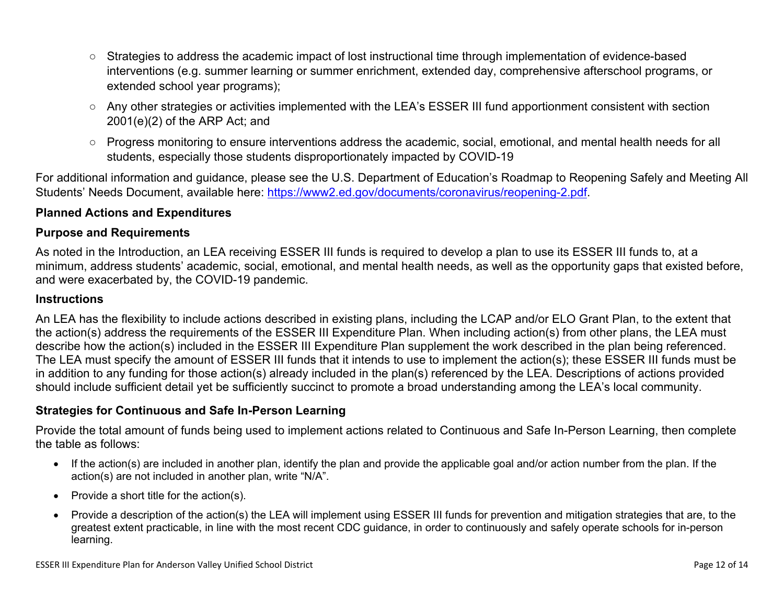- Strategies to address the academic impact of lost instructional time through implementation of evidence-based interventions (e.g. summer learning or summer enrichment, extended day, comprehensive afterschool programs, or extended school year programs);
- Any other strategies or activities implemented with the LEA's ESSER III fund apportionment consistent with section 2001(e)(2) of the ARP Act; and
- Progress monitoring to ensure interventions address the academic, social, emotional, and mental health needs for all students, especially those students disproportionately impacted by COVID-19

For additional information and guidance, please see the U.S. Department of Education's Roadmap to Reopening Safely and Meeting All Students' Needs Document, available here: [https://www2.ed.gov/documents/coronavirus/reopening-2.pdf.](https://www2.ed.gov/documents/coronavirus/reopening-2.pdf)

#### <span id="page-11-0"></span>**Planned Actions and Expenditures**

#### **Purpose and Requirements**

As noted in the Introduction, an LEA receiving ESSER III funds is required to develop a plan to use its ESSER III funds to, at a minimum, address students' academic, social, emotional, and mental health needs, as well as the opportunity gaps that existed before, and were exacerbated by, the COVID-19 pandemic.

#### **Instructions**

An LEA has the flexibility to include actions described in existing plans, including the LCAP and/or ELO Grant Plan, to the extent that the action(s) address the requirements of the ESSER III Expenditure Plan. When including action(s) from other plans, the LEA must describe how the action(s) included in the ESSER III Expenditure Plan supplement the work described in the plan being referenced. The LEA must specify the amount of ESSER III funds that it intends to use to implement the action(s); these ESSER III funds must be in addition to any funding for those action(s) already included in the plan(s) referenced by the LEA. Descriptions of actions provided should include sufficient detail yet be sufficiently succinct to promote a broad understanding among the LEA's local community.

#### <span id="page-11-1"></span>**Strategies for Continuous and Safe In-Person Learning**

Provide the total amount of funds being used to implement actions related to Continuous and Safe In-Person Learning, then complete the table as follows:

- If the action(s) are included in another plan, identify the plan and provide the applicable goal and/or action number from the plan. If the action(s) are not included in another plan, write "N/A".
- Provide a short title for the action(s).
- Provide a description of the action(s) the LEA will implement using ESSER III funds for prevention and mitigation strategies that are, to the greatest extent practicable, in line with the most recent CDC guidance, in order to continuously and safely operate schools for in-person learning.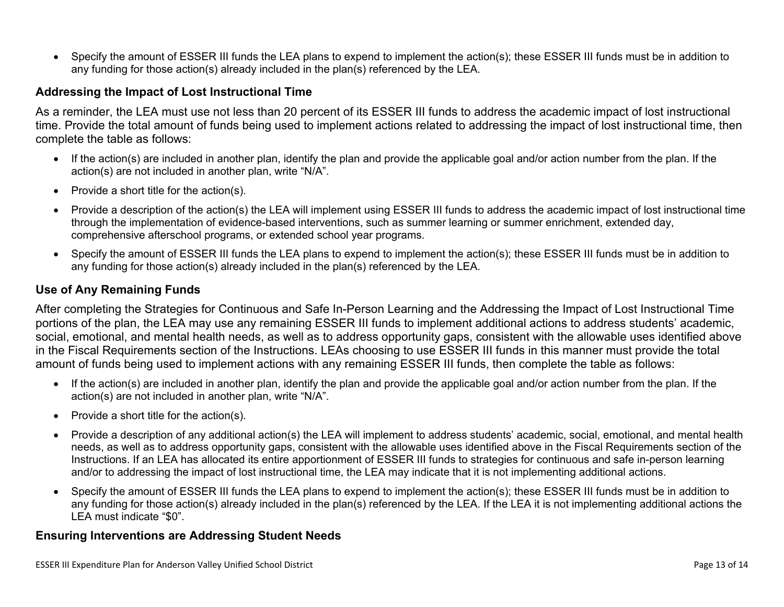• Specify the amount of ESSER III funds the LEA plans to expend to implement the action(s); these ESSER III funds must be in addition to any funding for those action(s) already included in the plan(s) referenced by the LEA.

#### <span id="page-12-0"></span>**Addressing the Impact of Lost Instructional Time**

As a reminder, the LEA must use not less than 20 percent of its ESSER III funds to address the academic impact of lost instructional time. Provide the total amount of funds being used to implement actions related to addressing the impact of lost instructional time, then complete the table as follows:

- If the action(s) are included in another plan, identify the plan and provide the applicable goal and/or action number from the plan. If the action(s) are not included in another plan, write "N/A".
- Provide a short title for the action(s).
- Provide a description of the action(s) the LEA will implement using ESSER III funds to address the academic impact of lost instructional time through the implementation of evidence-based interventions, such as summer learning or summer enrichment, extended day, comprehensive afterschool programs, or extended school year programs.
- Specify the amount of ESSER III funds the LEA plans to expend to implement the action(s); these ESSER III funds must be in addition to any funding for those action(s) already included in the plan(s) referenced by the LEA.

#### <span id="page-12-1"></span>**Use of Any Remaining Funds**

After completing the Strategies for Continuous and Safe In-Person Learning and the Addressing the Impact of Lost Instructional Time portions of the plan, the LEA may use any remaining ESSER III funds to implement additional actions to address students' academic, social, emotional, and mental health needs, as well as to address opportunity gaps, consistent with the allowable uses identified above in the Fiscal Requirements section of the Instructions. LEAs choosing to use ESSER III funds in this manner must provide the total amount of funds being used to implement actions with any remaining ESSER III funds, then complete the table as follows:

- If the action(s) are included in another plan, identify the plan and provide the applicable goal and/or action number from the plan. If the action(s) are not included in another plan, write "N/A".
- Provide a short title for the action(s).
- Provide a description of any additional action(s) the LEA will implement to address students' academic, social, emotional, and mental health needs, as well as to address opportunity gaps, consistent with the allowable uses identified above in the Fiscal Requirements section of the Instructions. If an LEA has allocated its entire apportionment of ESSER III funds to strategies for continuous and safe in-person learning and/or to addressing the impact of lost instructional time, the LEA may indicate that it is not implementing additional actions.
- Specify the amount of ESSER III funds the LEA plans to expend to implement the action(s); these ESSER III funds must be in addition to any funding for those action(s) already included in the plan(s) referenced by the LEA. If the LEA it is not implementing additional actions the LEA must indicate "\$0".

#### <span id="page-12-2"></span>**Ensuring Interventions are Addressing Student Needs**